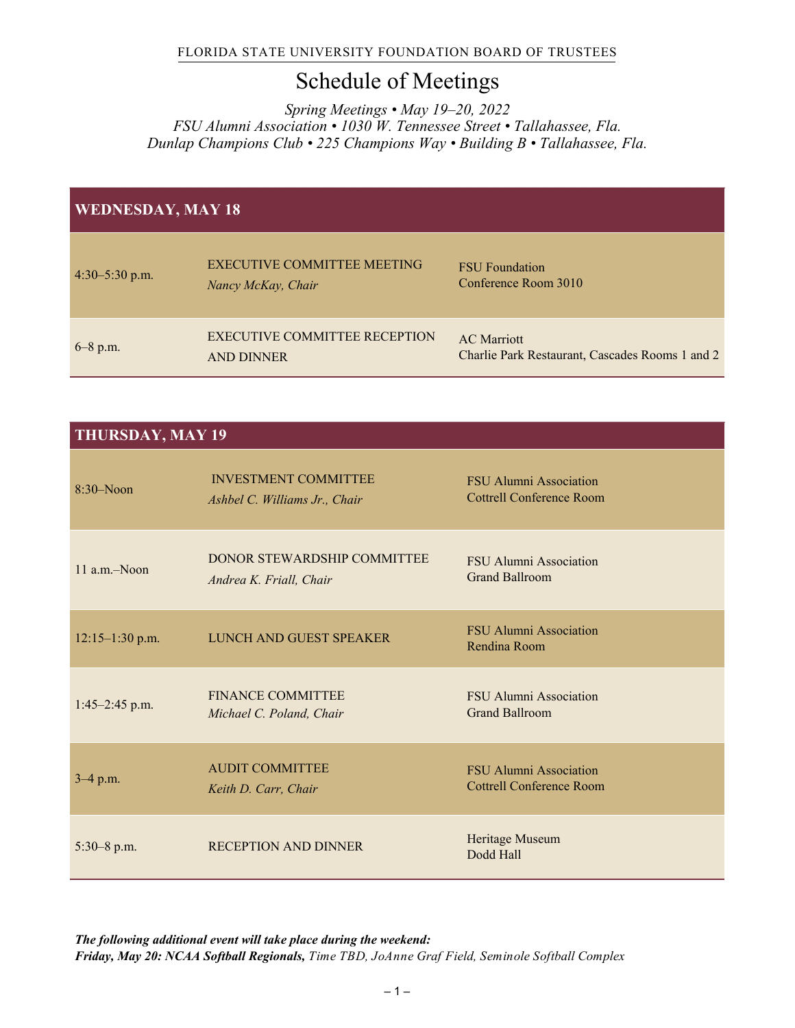## Schedule of Meetings

*Spring Meetings • May 19–20, 2022 FSU Alumni Association • 1030 W. Tennessee Street • Tallahassee, Fla. Dunlap Champions Club • 225 Champions Way • Building B • Tallahassee, Fla.* 

| <b>WEDNESDAY, MAY 18</b> |                                                    |                                                                       |  |
|--------------------------|----------------------------------------------------|-----------------------------------------------------------------------|--|
| $4:30-5:30$ p.m.         | EXECUTIVE COMMITTEE MEETING<br>Nancy McKay, Chair  | <b>FSU</b> Foundation<br>Conference Room 3010                         |  |
| $6 - 8$ p.m.             | EXECUTIVE COMMITTEE RECEPTION<br><b>AND DINNER</b> | <b>AC</b> Marriott<br>Charlie Park Restaurant, Cascades Rooms 1 and 2 |  |

## **THURSDAY, MAY 19**

| $8:30-N$ oon       | <b>INVESTMENT COMMITTEE</b><br>Ashbel C. Williams Jr., Chair | <b>FSU Alumni Association</b><br><b>Cottrell Conference Room</b> |
|--------------------|--------------------------------------------------------------|------------------------------------------------------------------|
| $11$ a.m. $-N$ oon | DONOR STEWARDSHIP COMMITTEE<br>Andrea K. Friall, Chair       | FSU Alumni Association<br><b>Grand Ballroom</b>                  |
| $12:15-1:30$ p.m.  | LUNCH AND GUEST SPEAKER                                      | <b>FSU Alumni Association</b><br>Rendina Room                    |
| $1:45-2:45$ p.m.   | <b>FINANCE COMMITTEE</b><br>Michael C. Poland, Chair         | <b>FSU Alumni Association</b><br><b>Grand Ballroom</b>           |
| $3-4$ p.m.         | <b>AUDIT COMMITTEE</b><br>Keith D. Carr, Chair               | <b>FSU Alumni Association</b><br><b>Cottrell Conference Room</b> |
| $5:30-8$ p.m.      | <b>RECEPTION AND DINNER</b>                                  | Heritage Museum<br>Dodd Hall                                     |

*The following additional event will take place during the weekend: Friday, May 20: NCAA Softball Regionals, Time TBD, JoAnne Graf Field, Seminole Softball Complex*